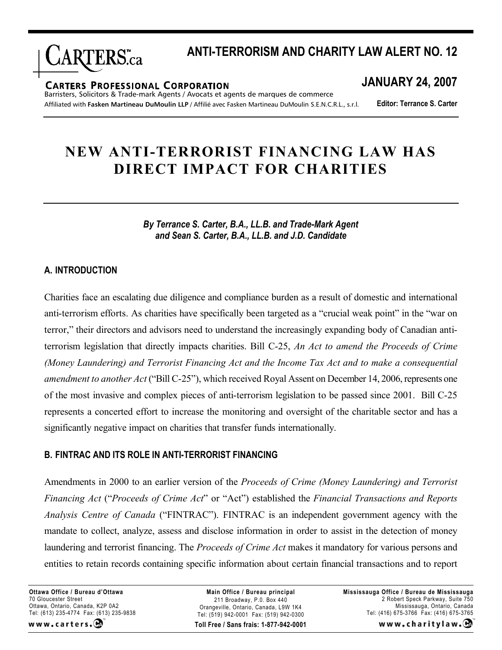

# **ANTI-TERRORISM AND CHARITY LAW ALERT NO. 12**

#### **CARTERS PROFESSIONAL CORPORATION**

Barristers, Solicitors & Trade-mark Agents / Avocats et agents de marques de commerce Affiliated with **Fasken Martineau DuMoulin LLP** / Affilié avec Fasken Martineau DuMoulin S.E.N.C.R.L., s.r.l.

# **JANUARY 24, 2007**

**Editor: Terrance S. Carter**

# **NEW ANTI-TERRORIST FINANCING LAW HAS DIRECT IMPACT FOR CHARITIES**

*By Terrance S. Carter, B.A., LL.B. and Trade-Mark Agent and Sean S. Carter, B.A., LL.B. and J.D. Candidate*

### **A. INTRODUCTION**

Charities face an escalating due diligence and compliance burden as a result of domestic and international anti-terrorism efforts. As charities have specifically been targeted as a "crucial weak point" in the "war on terror," their directors and advisors need to understand the increasingly expanding body of Canadian antiterrorism legislation that directly impacts charities. Bill C-25, *An Act to amend the Proceeds of Crime (Money Laundering) and Terrorist Financing Act and the Income Tax Act and to make a consequential amendment to another Act* ("Bill C-25"), which received Royal Assent on December 14, 2006, represents one of the most invasive and complex pieces of anti-terrorism legislation to be passed since 2001. Bill C-25 represents a concerted effort to increase the monitoring and oversight of the charitable sector and has a significantly negative impact on charities that transfer funds internationally.

#### **B. FINTRAC AND ITS ROLE IN ANTI-TERRORIST FINANCING**

Amendments in 2000 to an earlier version of the *Proceeds of Crime (Money Laundering) and Terrorist Financing Act* ("*Proceeds of Crime Act*" or "Act") established the *Financial Transactions and Reports Analysis Centre of Canada* ("FINTRAC"). FINTRAC is an independent government agency with the mandate to collect, analyze, assess and disclose information in order to assist in the detection of money laundering and terrorist financing. The *Proceeds of Crime Act* makes it mandatory for various persons and entities to retain records containing specific information about certain financial transactions and to report

**Ottawa Office / Bureau d'Ottawa** 70 Gloucester Street Ottawa, Ontario, Canada, K2P 0A2 Tel: (613) 235-4774 Fax: (613) 235-9838 www.carters.

**Toll Free / Sans frais: 1-877-942-0001 Main Office / Bureau principal** 211 Broadway, P.0. Box 440 Orangeville, Ontario, Canada, L9W 1K4 Tel: (519) 942-0001 Fax: (519) 942-0300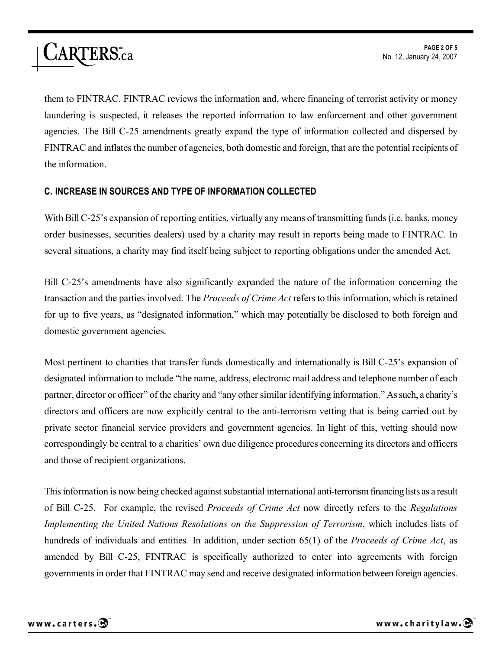them to FINTRAC. FINTRAC reviews the information and, where financing of terrorist activity or money laundering is suspected, it releases the reported information to law enforcement and other government agencies. The Bill C-25 amendments greatly expand the type of information collected and dispersed by FINTRAC and inflates the number of agencies, both domestic and foreign, that are the potential recipients of the information.

## **C. INCREASE IN SOURCES AND TYPE OF INFORMATION COLLECTED**

With Bill C-25's expansion of reporting entities, virtually any means of transmitting funds (i.e. banks, money order businesses, securities dealers) used by a charity may result in reports being made to FINTRAC. In several situations, a charity may find itself being subject to reporting obligations under the amended Act.

Bill C-25's amendments have also significantly expanded the nature of the information concerning the transaction and the parties involved. The *Proceeds of Crime Act* refers to this information, which is retained for up to five years, as "designated information," which may potentially be disclosed to both foreign and domestic government agencies.

Most pertinent to charities that transfer funds domestically and internationally is Bill C-25's expansion of designated information to include "the name, address, electronic mail address and telephone number of each partner, director or officer" of the charity and "any other similar identifying information." As such, a charity's directors and officers are now explicitly central to the anti-terrorism vetting that is being carried out by private sector financial service providers and government agencies. In light of this, vetting should now correspondingly be central to a charities' own due diligence procedures concerning its directors and officers and those of recipient organizations.

This information is now being checked against substantial international anti-terrorism financing lists as a result of Bill C-25. For example, the revised *Proceeds of Crime Act* now directly refers to the *Regulations Implementing the United Nations Resolutions on the Suppression of Terrorism*, which includes lists of hundreds of individuals and entities*.* In addition, under section 65(1) of the *Proceeds of Crime Act*, as amended by Bill C-25, FINTRAC is specifically authorized to enter into agreements with foreign governments in order that FINTRAC may send and receive designated information between foreign agencies.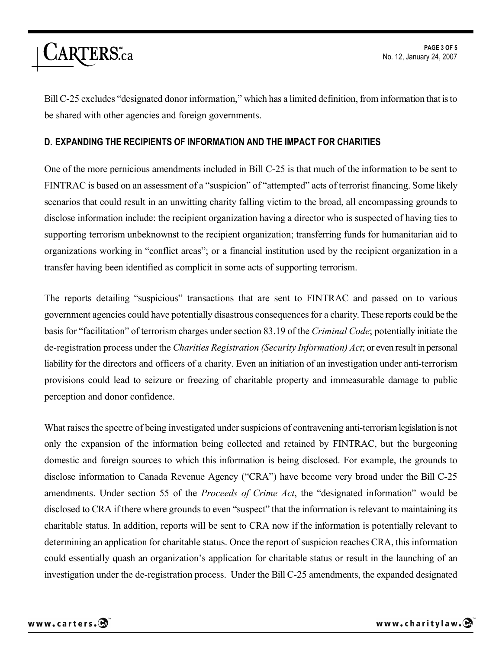

Bill C-25 excludes "designated donor information," which has a limited definition, from information that isto be shared with other agencies and foreign governments.

#### **D. EXPANDING THE RECIPIENTS OF INFORMATION AND THE IMPACT FOR CHARITIES**

One of the more pernicious amendments included in Bill C-25 is that much of the information to be sent to FINTRAC is based on an assessment of a "suspicion" of "attempted" acts of terrorist financing. Some likely scenarios that could result in an unwitting charity falling victim to the broad, all encompassing grounds to disclose information include: the recipient organization having a director who is suspected of having ties to supporting terrorism unbeknownst to the recipient organization; transferring funds for humanitarian aid to organizations working in "conflict areas"; or a financial institution used by the recipient organization in a transfer having been identified as complicit in some acts of supporting terrorism.

The reports detailing "suspicious" transactions that are sent to FINTRAC and passed on to various government agencies could have potentially disastrous consequencesfor a charity. These reports could be the basis for "facilitation" of terrorism charges under section 83.19 of the *Criminal Code*; potentially initiate the de-registration process under the *Charities Registration (Security Information) Act*; or even result in personal liability for the directors and officers of a charity. Even an initiation of an investigation under anti-terrorism provisions could lead to seizure or freezing of charitable property and immeasurable damage to public perception and donor confidence.

What raises the spectre of being investigated under suspicions of contravening anti-terrorism legislation is not only the expansion of the information being collected and retained by FINTRAC, but the burgeoning domestic and foreign sources to which this information is being disclosed. For example, the grounds to disclose information to Canada Revenue Agency ("CRA") have become very broad under the Bill C-25 amendments. Under section 55 of the *Proceeds of Crime Act*, the "designated information" would be disclosed to CRA if there where grounds to even "suspect" that the information is relevant to maintaining its charitable status. In addition, reports will be sent to CRA now if the information is potentially relevant to determining an application for charitable status. Once the report of suspicion reaches CRA, this information could essentially quash an organization's application for charitable status or result in the launching of an investigation under the de-registration process. Under the Bill C-25 amendments, the expanded designated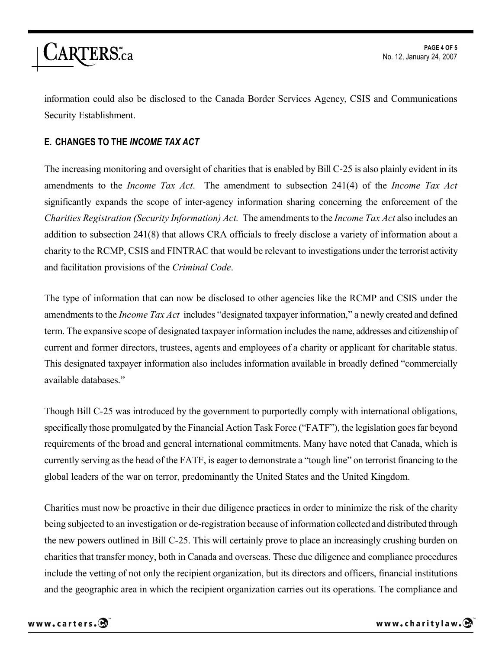

information could also be disclosed to the Canada Border Services Agency, CSIS and Communications Security Establishment.

### **E. CHANGES TO THE** *INCOME TAX ACT*

The increasing monitoring and oversight of charities that is enabled by Bill C-25 is also plainly evident in its amendments to the *Income Tax Act*. The amendment to subsection 241(4) of the *Income Tax Act* significantly expands the scope of inter-agency information sharing concerning the enforcement of the *Charities Registration (Security Information) Act.* The amendments to the *Income Tax Act* also includes an addition to subsection 241(8) that allows CRA officials to freely disclose a variety of information about a charity to the RCMP, CSIS and FINTRAC that would be relevant to investigations under the terrorist activity and facilitation provisions of the *Criminal Code*.

The type of information that can now be disclosed to other agencies like the RCMP and CSIS under the amendments to the *Income Tax Act* includes "designated taxpayer information," a newly created and defined term. The expansive scope of designated taxpayer information includes the name, addresses and citizenship of current and former directors, trustees, agents and employees of a charity or applicant for charitable status. This designated taxpayer information also includes information available in broadly defined "commercially available databases."

Though Bill C-25 was introduced by the government to purportedly comply with international obligations, specifically those promulgated by the Financial Action Task Force ("FATF"), the legislation goes far beyond requirements of the broad and general international commitments. Many have noted that Canada, which is currently serving as the head of the FATF, is eager to demonstrate a "tough line" on terrorist financing to the global leaders of the war on terror, predominantly the United States and the United Kingdom.

Charities must now be proactive in their due diligence practices in order to minimize the risk of the charity being subjected to an investigation or de-registration because of information collected and distributed through the new powers outlined in Bill C-25. This will certainly prove to place an increasingly crushing burden on charities that transfer money, both in Canada and overseas. These due diligence and compliance procedures include the vetting of not only the recipient organization, but its directors and officers, financial institutions and the geographic area in which the recipient organization carries out its operations. The compliance and